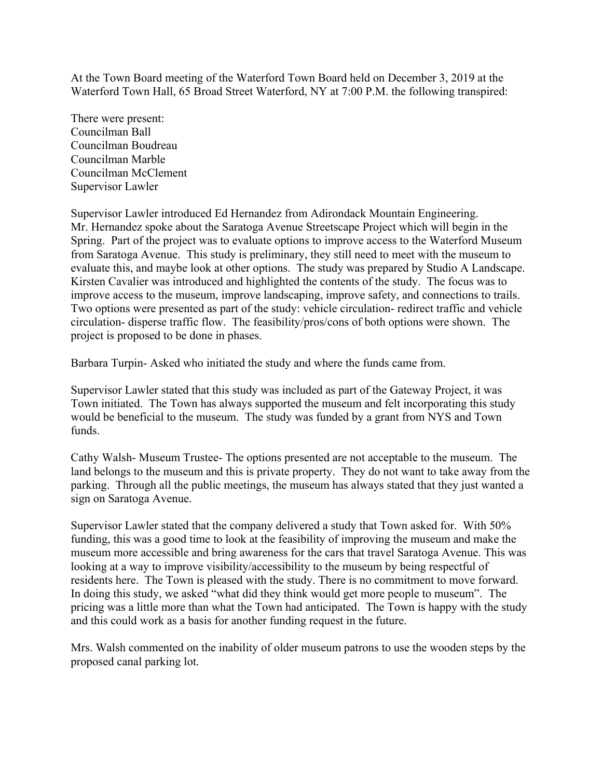At the Town Board meeting of the Waterford Town Board held on December 3, 2019 at the Waterford Town Hall, 65 Broad Street Waterford, NY at 7:00 P.M. the following transpired:

There were present: Councilman Ball Councilman Boudreau Councilman Marble Councilman McClement Supervisor Lawler

Supervisor Lawler introduced Ed Hernandez from Adirondack Mountain Engineering. Mr. Hernandez spoke about the Saratoga Avenue Streetscape Project which will begin in the Spring. Part of the project was to evaluate options to improve access to the Waterford Museum from Saratoga Avenue. This study is preliminary, they still need to meet with the museum to evaluate this, and maybe look at other options. The study was prepared by Studio A Landscape. Kirsten Cavalier was introduced and highlighted the contents of the study. The focus was to improve access to the museum, improve landscaping, improve safety, and connections to trails. Two options were presented as part of the study: vehicle circulation- redirect traffic and vehicle circulation- disperse traffic flow. The feasibility/pros/cons of both options were shown. The project is proposed to be done in phases.

Barbara Turpin- Asked who initiated the study and where the funds came from.

Supervisor Lawler stated that this study was included as part of the Gateway Project, it was Town initiated. The Town has always supported the museum and felt incorporating this study would be beneficial to the museum. The study was funded by a grant from NYS and Town funds.

Cathy Walsh- Museum Trustee- The options presented are not acceptable to the museum. The land belongs to the museum and this is private property. They do not want to take away from the parking. Through all the public meetings, the museum has always stated that they just wanted a sign on Saratoga Avenue.

Supervisor Lawler stated that the company delivered a study that Town asked for. With 50% funding, this was a good time to look at the feasibility of improving the museum and make the museum more accessible and bring awareness for the cars that travel Saratoga Avenue. This was looking at a way to improve visibility/accessibility to the museum by being respectful of residents here. The Town is pleased with the study. There is no commitment to move forward. In doing this study, we asked "what did they think would get more people to museum". The pricing was a little more than what the Town had anticipated. The Town is happy with the study and this could work as a basis for another funding request in the future.

Mrs. Walsh commented on the inability of older museum patrons to use the wooden steps by the proposed canal parking lot.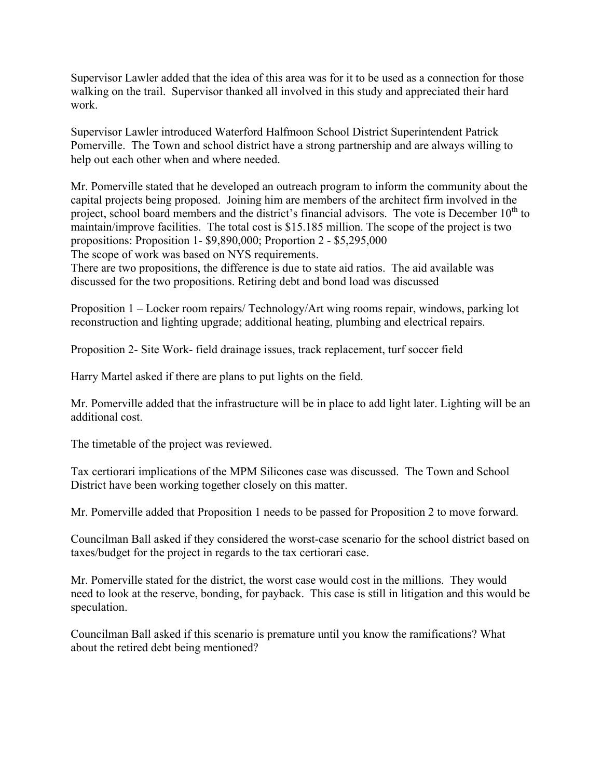Supervisor Lawler added that the idea of this area was for it to be used as a connection for those walking on the trail. Supervisor thanked all involved in this study and appreciated their hard work.

Supervisor Lawler introduced Waterford Halfmoon School District Superintendent Patrick Pomerville. The Town and school district have a strong partnership and are always willing to help out each other when and where needed.

Mr. Pomerville stated that he developed an outreach program to inform the community about the capital projects being proposed. Joining him are members of the architect firm involved in the project, school board members and the district's financial advisors. The vote is December  $10<sup>th</sup>$  to maintain/improve facilities. The total cost is \$15.185 million. The scope of the project is two propositions: Proposition 1- \$9,890,000; Proportion 2 - \$5,295,000 The scope of work was based on NYS requirements.

There are two propositions, the difference is due to state aid ratios. The aid available was

discussed for the two propositions. Retiring debt and bond load was discussed

Proposition 1 – Locker room repairs/ Technology/Art wing rooms repair, windows, parking lot reconstruction and lighting upgrade; additional heating, plumbing and electrical repairs.

Proposition 2- Site Work- field drainage issues, track replacement, turf soccer field

Harry Martel asked if there are plans to put lights on the field.

Mr. Pomerville added that the infrastructure will be in place to add light later. Lighting will be an additional cost.

The timetable of the project was reviewed.

Tax certiorari implications of the MPM Silicones case was discussed. The Town and School District have been working together closely on this matter.

Mr. Pomerville added that Proposition 1 needs to be passed for Proposition 2 to move forward.

Councilman Ball asked if they considered the worst-case scenario for the school district based on taxes/budget for the project in regards to the tax certiorari case.

Mr. Pomerville stated for the district, the worst case would cost in the millions. They would need to look at the reserve, bonding, for payback. This case is still in litigation and this would be speculation.

Councilman Ball asked if this scenario is premature until you know the ramifications? What about the retired debt being mentioned?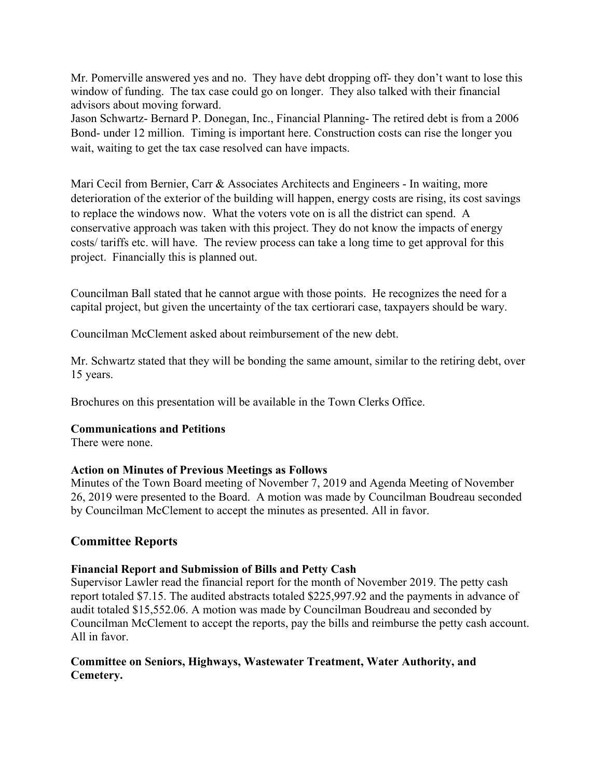Mr. Pomerville answered yes and no. They have debt dropping off- they don't want to lose this window of funding. The tax case could go on longer. They also talked with their financial advisors about moving forward.

Jason Schwartz- Bernard P. Donegan, Inc., Financial Planning- The retired debt is from a 2006 Bond- under 12 million. Timing is important here. Construction costs can rise the longer you wait, waiting to get the tax case resolved can have impacts.

Mari Cecil from Bernier, Carr & Associates Architects and Engineers - In waiting, more deterioration of the exterior of the building will happen, energy costs are rising, its cost savings to replace the windows now. What the voters vote on is all the district can spend. A conservative approach was taken with this project. They do not know the impacts of energy costs/ tariffs etc. will have. The review process can take a long time to get approval for this project. Financially this is planned out.

Councilman Ball stated that he cannot argue with those points. He recognizes the need for a capital project, but given the uncertainty of the tax certiorari case, taxpayers should be wary.

Councilman McClement asked about reimbursement of the new debt.

Mr. Schwartz stated that they will be bonding the same amount, similar to the retiring debt, over 15 years.

Brochures on this presentation will be available in the Town Clerks Office.

#### **Communications and Petitions**

There were none.

#### **Action on Minutes of Previous Meetings as Follows**

Minutes of the Town Board meeting of November 7, 2019 and Agenda Meeting of November 26, 2019 were presented to the Board. A motion was made by Councilman Boudreau seconded by Councilman McClement to accept the minutes as presented. All in favor.

# **Committee Reports**

#### **Financial Report and Submission of Bills and Petty Cash**

Supervisor Lawler read the financial report for the month of November 2019. The petty cash report totaled \$7.15. The audited abstracts totaled \$225,997.92 and the payments in advance of audit totaled \$15,552.06. A motion was made by Councilman Boudreau and seconded by Councilman McClement to accept the reports, pay the bills and reimburse the petty cash account. All in favor.

# **Committee on Seniors, Highways, Wastewater Treatment, Water Authority, and Cemetery.**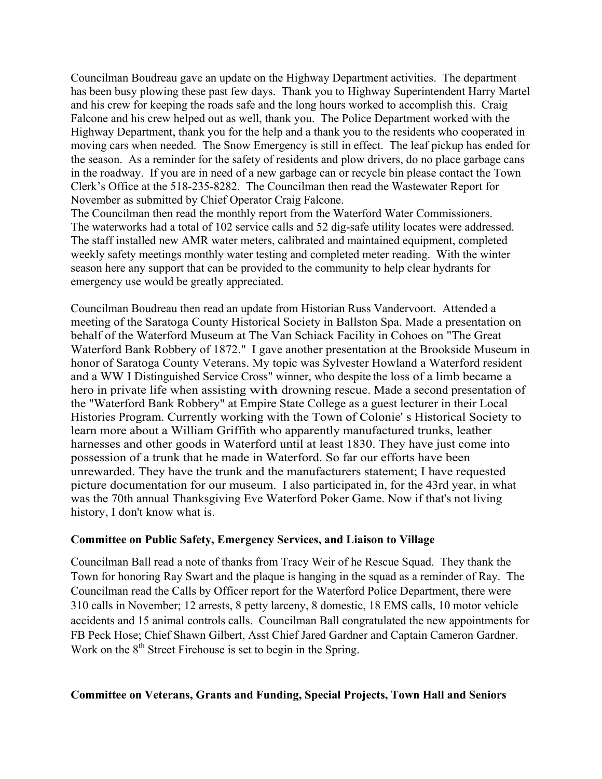Councilman Boudreau gave an update on the Highway Department activities. The department has been busy plowing these past few days. Thank you to Highway Superintendent Harry Martel and his crew for keeping the roads safe and the long hours worked to accomplish this. Craig Falcone and his crew helped out as well, thank you. The Police Department worked with the Highway Department, thank you for the help and a thank you to the residents who cooperated in moving cars when needed. The Snow Emergency is still in effect. The leaf pickup has ended for the season. As a reminder for the safety of residents and plow drivers, do no place garbage cans in the roadway. If you are in need of a new garbage can or recycle bin please contact the Town Clerk's Office at the 518-235-8282. The Councilman then read the Wastewater Report for November as submitted by Chief Operator Craig Falcone.

The Councilman then read the monthly report from the Waterford Water Commissioners. The waterworks had a total of 102 service calls and 52 dig-safe utility locates were addressed. The staff installed new AMR water meters, calibrated and maintained equipment, completed weekly safety meetings monthly water testing and completed meter reading. With the winter season here any support that can be provided to the community to help clear hydrants for emergency use would be greatly appreciated.

Councilman Boudreau then read an update from Historian Russ Vandervoort. Attended a meeting of the Saratoga County Historical Society in Ballston Spa. Made a presentation on behalf of the Waterford Museum at The Van Schiack Facility in Cohoes on "The Great Waterford Bank Robbery of 1872." I gave another presentation at the Brookside Museum in honor of Saratoga County Veterans. My topic was Sylvester Howland a Waterford resident and a WW I Distinguished Service Cross" winner, who despite the loss of a limb became a hero in private life when assisting with drowning rescue. Made a second presentation of the "Waterford Bank Robbery" at Empire State College as a guest lecturer in their Local Histories Program. Currently working with the Town of Colonie' s Historical Society to learn more about a William Griffith who apparently manufactured trunks, leather harnesses and other goods in Waterford until at least 1830. They have just come into possession of a trunk that he made in Waterford. So far our efforts have been unrewarded. They have the trunk and the manufacturers statement; I have requested picture documentation for our museum. I also participated in, for the 43rd year, in what was the 70th annual Thanksgiving Eve Waterford Poker Game. Now if that's not living history, I don't know what is.

#### **Committee on Public Safety, Emergency Services, and Liaison to Village**

Councilman Ball read a note of thanks from Tracy Weir of he Rescue Squad. They thank the Town for honoring Ray Swart and the plaque is hanging in the squad as a reminder of Ray. The Councilman read the Calls by Officer report for the Waterford Police Department, there were 310 calls in November; 12 arrests, 8 petty larceny, 8 domestic, 18 EMS calls, 10 motor vehicle accidents and 15 animal controls calls. Councilman Ball congratulated the new appointments for FB Peck Hose; Chief Shawn Gilbert, Asst Chief Jared Gardner and Captain Cameron Gardner. Work on the  $8<sup>th</sup>$  Street Firehouse is set to begin in the Spring.

# **Committee on Veterans, Grants and Funding, Special Projects, Town Hall and Seniors**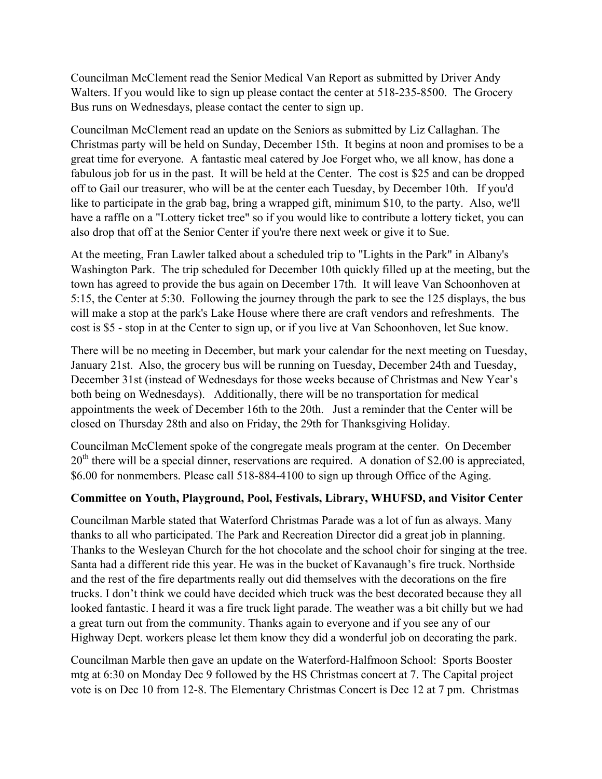Councilman McClement read the Senior Medical Van Report as submitted by Driver Andy Walters. If you would like to sign up please contact the center at 518-235-8500. The Grocery Bus runs on Wednesdays, please contact the center to sign up.

Councilman McClement read an update on the Seniors as submitted by Liz Callaghan. The Christmas party will be held on Sunday, December 15th. It begins at noon and promises to be a great time for everyone. A fantastic meal catered by Joe Forget who, we all know, has done a fabulous job for us in the past. It will be held at the Center. The cost is \$25 and can be dropped off to Gail our treasurer, who will be at the center each Tuesday, by December 10th. If you'd like to participate in the grab bag, bring a wrapped gift, minimum \$10, to the party. Also, we'll have a raffle on a "Lottery ticket tree" so if you would like to contribute a lottery ticket, you can also drop that off at the Senior Center if you're there next week or give it to Sue.

At the meeting, Fran Lawler talked about a scheduled trip to "Lights in the Park" in Albany's Washington Park. The trip scheduled for December 10th quickly filled up at the meeting, but the town has agreed to provide the bus again on December 17th. It will leave Van Schoonhoven at 5:15, the Center at 5:30. Following the journey through the park to see the 125 displays, the bus will make a stop at the park's Lake House where there are craft vendors and refreshments. The cost is \$5 - stop in at the Center to sign up, or if you live at Van Schoonhoven, let Sue know.

There will be no meeting in December, but mark your calendar for the next meeting on Tuesday, January 21st. Also, the grocery bus will be running on Tuesday, December 24th and Tuesday, December 31st (instead of Wednesdays for those weeks because of Christmas and New Year's both being on Wednesdays). Additionally, there will be no transportation for medical appointments the week of December 16th to the 20th. Just a reminder that the Center will be closed on Thursday 28th and also on Friday, the 29th for Thanksgiving Holiday.

Councilman McClement spoke of the congregate meals program at the center. On December  $20<sup>th</sup>$  there will be a special dinner, reservations are required. A donation of \$2.00 is appreciated, \$6.00 for nonmembers. Please call 518-884-4100 to sign up through Office of the Aging.

# **Committee on Youth, Playground, Pool, Festivals, Library, WHUFSD, and Visitor Center**

Councilman Marble stated that Waterford Christmas Parade was a lot of fun as always. Many thanks to all who participated. The Park and Recreation Director did a great job in planning. Thanks to the Wesleyan Church for the hot chocolate and the school choir for singing at the tree. Santa had a different ride this year. He was in the bucket of Kavanaugh's fire truck. Northside and the rest of the fire departments really out did themselves with the decorations on the fire trucks. I don't think we could have decided which truck was the best decorated because they all looked fantastic. I heard it was a fire truck light parade. The weather was a bit chilly but we had a great turn out from the community. Thanks again to everyone and if you see any of our Highway Dept. workers please let them know they did a wonderful job on decorating the park.

Councilman Marble then gave an update on the Waterford-Halfmoon School: Sports Booster mtg at 6:30 on Monday Dec 9 followed by the HS Christmas concert at 7. The Capital project vote is on Dec 10 from 12-8. The Elementary Christmas Concert is Dec 12 at 7 pm. Christmas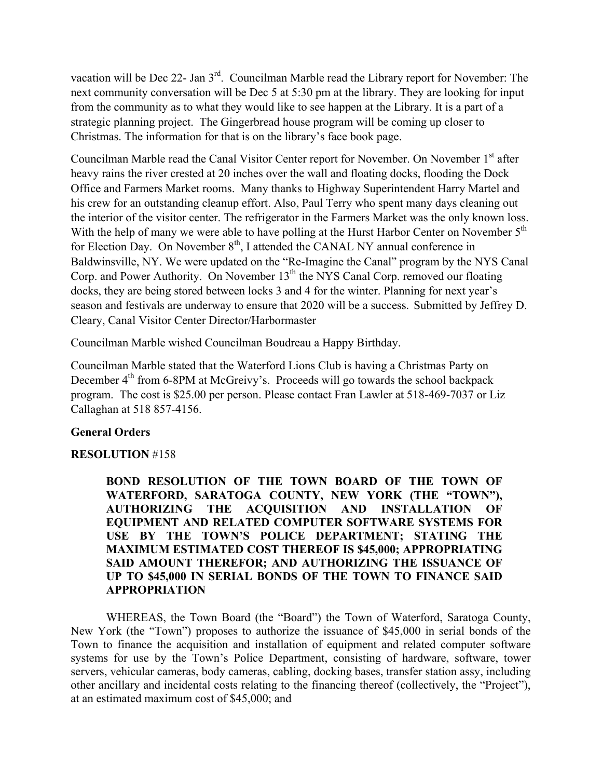vacation will be Dec 22- Jan 3rd. Councilman Marble read the Library report for November: The next community conversation will be Dec 5 at 5:30 pm at the library. They are looking for input from the community as to what they would like to see happen at the Library. It is a part of a strategic planning project. The Gingerbread house program will be coming up closer to Christmas. The information for that is on the library's face book page.

Councilman Marble read the Canal Visitor Center report for November. On November 1st after heavy rains the river crested at 20 inches over the wall and floating docks, flooding the Dock Office and Farmers Market rooms. Many thanks to Highway Superintendent Harry Martel and his crew for an outstanding cleanup effort. Also, Paul Terry who spent many days cleaning out the interior of the visitor center. The refrigerator in the Farmers Market was the only known loss. With the help of many we were able to have polling at the Hurst Harbor Center on November  $5<sup>th</sup>$ for Election Day. On November  $8<sup>th</sup>$ , I attended the CANAL NY annual conference in Baldwinsville, NY. We were updated on the "Re-Imagine the Canal" program by the NYS Canal Corp. and Power Authority. On November  $13<sup>th</sup>$  the NYS Canal Corp. removed our floating docks, they are being stored between locks 3 and 4 for the winter. Planning for next year's season and festivals are underway to ensure that 2020 will be a success. Submitted by Jeffrey D. Cleary, Canal Visitor Center Director/Harbormaster

Councilman Marble wished Councilman Boudreau a Happy Birthday.

Councilman Marble stated that the Waterford Lions Club is having a Christmas Party on December 4<sup>th</sup> from 6-8PM at McGreivy's. Proceeds will go towards the school backpack program. The cost is \$25.00 per person. Please contact Fran Lawler at 518-469-7037 or Liz Callaghan at 518 857-4156.

# **General Orders**

# **RESOLUTION** #158

**BOND RESOLUTION OF THE TOWN BOARD OF THE TOWN OF WATERFORD, SARATOGA COUNTY, NEW YORK (THE "TOWN"), AUTHORIZING THE ACQUISITION AND INSTALLATION OF EQUIPMENT AND RELATED COMPUTER SOFTWARE SYSTEMS FOR USE BY THE TOWN'S POLICE DEPARTMENT; STATING THE MAXIMUM ESTIMATED COST THEREOF IS \$45,000; APPROPRIATING SAID AMOUNT THEREFOR; AND AUTHORIZING THE ISSUANCE OF UP TO \$45,000 IN SERIAL BONDS OF THE TOWN TO FINANCE SAID APPROPRIATION** 

WHEREAS, the Town Board (the "Board") the Town of Waterford, Saratoga County, New York (the "Town") proposes to authorize the issuance of \$45,000 in serial bonds of the Town to finance the acquisition and installation of equipment and related computer software systems for use by the Town's Police Department, consisting of hardware, software, tower servers, vehicular cameras, body cameras, cabling, docking bases, transfer station assy, including other ancillary and incidental costs relating to the financing thereof (collectively, the "Project"), at an estimated maximum cost of \$45,000; and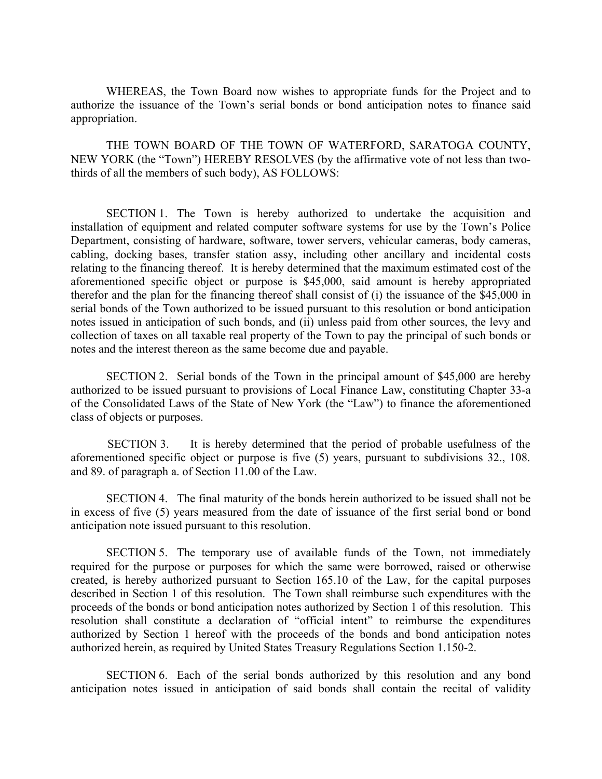WHEREAS, the Town Board now wishes to appropriate funds for the Project and to authorize the issuance of the Town's serial bonds or bond anticipation notes to finance said appropriation.

THE TOWN BOARD OF THE TOWN OF WATERFORD, SARATOGA COUNTY, NEW YORK (the "Town") HEREBY RESOLVES (by the affirmative vote of not less than twothirds of all the members of such body), AS FOLLOWS:

SECTION 1. The Town is hereby authorized to undertake the acquisition and installation of equipment and related computer software systems for use by the Town's Police Department, consisting of hardware, software, tower servers, vehicular cameras, body cameras, cabling, docking bases, transfer station assy, including other ancillary and incidental costs relating to the financing thereof. It is hereby determined that the maximum estimated cost of the aforementioned specific object or purpose is \$45,000, said amount is hereby appropriated therefor and the plan for the financing thereof shall consist of (i) the issuance of the \$45,000 in serial bonds of the Town authorized to be issued pursuant to this resolution or bond anticipation notes issued in anticipation of such bonds, and (ii) unless paid from other sources, the levy and collection of taxes on all taxable real property of the Town to pay the principal of such bonds or notes and the interest thereon as the same become due and payable.

SECTION 2. Serial bonds of the Town in the principal amount of \$45,000 are hereby authorized to be issued pursuant to provisions of Local Finance Law, constituting Chapter 33-a of the Consolidated Laws of the State of New York (the "Law") to finance the aforementioned class of objects or purposes.

SECTION 3. It is hereby determined that the period of probable usefulness of the aforementioned specific object or purpose is five (5) years, pursuant to subdivisions 32., 108. and 89. of paragraph a. of Section 11.00 of the Law.

SECTION 4. The final maturity of the bonds herein authorized to be issued shall not be in excess of five (5) years measured from the date of issuance of the first serial bond or bond anticipation note issued pursuant to this resolution.

SECTION 5. The temporary use of available funds of the Town, not immediately required for the purpose or purposes for which the same were borrowed, raised or otherwise created, is hereby authorized pursuant to Section 165.10 of the Law, for the capital purposes described in Section 1 of this resolution. The Town shall reimburse such expenditures with the proceeds of the bonds or bond anticipation notes authorized by Section 1 of this resolution. This resolution shall constitute a declaration of "official intent" to reimburse the expenditures authorized by Section 1 hereof with the proceeds of the bonds and bond anticipation notes authorized herein, as required by United States Treasury Regulations Section 1.150-2.

SECTION 6. Each of the serial bonds authorized by this resolution and any bond anticipation notes issued in anticipation of said bonds shall contain the recital of validity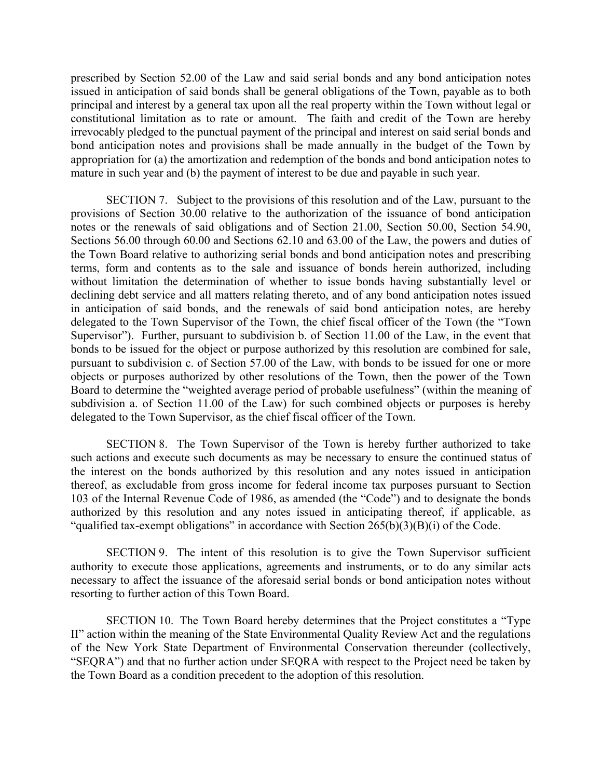prescribed by Section 52.00 of the Law and said serial bonds and any bond anticipation notes issued in anticipation of said bonds shall be general obligations of the Town, payable as to both principal and interest by a general tax upon all the real property within the Town without legal or constitutional limitation as to rate or amount. The faith and credit of the Town are hereby irrevocably pledged to the punctual payment of the principal and interest on said serial bonds and bond anticipation notes and provisions shall be made annually in the budget of the Town by appropriation for (a) the amortization and redemption of the bonds and bond anticipation notes to mature in such year and (b) the payment of interest to be due and payable in such year.

SECTION 7. Subject to the provisions of this resolution and of the Law, pursuant to the provisions of Section 30.00 relative to the authorization of the issuance of bond anticipation notes or the renewals of said obligations and of Section 21.00, Section 50.00, Section 54.90, Sections 56.00 through 60.00 and Sections 62.10 and 63.00 of the Law, the powers and duties of the Town Board relative to authorizing serial bonds and bond anticipation notes and prescribing terms, form and contents as to the sale and issuance of bonds herein authorized, including without limitation the determination of whether to issue bonds having substantially level or declining debt service and all matters relating thereto, and of any bond anticipation notes issued in anticipation of said bonds, and the renewals of said bond anticipation notes, are hereby delegated to the Town Supervisor of the Town, the chief fiscal officer of the Town (the "Town Supervisor"). Further, pursuant to subdivision b. of Section 11.00 of the Law, in the event that bonds to be issued for the object or purpose authorized by this resolution are combined for sale, pursuant to subdivision c. of Section 57.00 of the Law, with bonds to be issued for one or more objects or purposes authorized by other resolutions of the Town, then the power of the Town Board to determine the "weighted average period of probable usefulness" (within the meaning of subdivision a. of Section 11.00 of the Law) for such combined objects or purposes is hereby delegated to the Town Supervisor, as the chief fiscal officer of the Town.

SECTION 8. The Town Supervisor of the Town is hereby further authorized to take such actions and execute such documents as may be necessary to ensure the continued status of the interest on the bonds authorized by this resolution and any notes issued in anticipation thereof, as excludable from gross income for federal income tax purposes pursuant to Section 103 of the Internal Revenue Code of 1986, as amended (the "Code") and to designate the bonds authorized by this resolution and any notes issued in anticipating thereof, if applicable, as "qualified tax-exempt obligations" in accordance with Section  $265(b)(3)(B)(i)$  of the Code.

SECTION 9. The intent of this resolution is to give the Town Supervisor sufficient authority to execute those applications, agreements and instruments, or to do any similar acts necessary to affect the issuance of the aforesaid serial bonds or bond anticipation notes without resorting to further action of this Town Board.

SECTION 10. The Town Board hereby determines that the Project constitutes a "Type II" action within the meaning of the State Environmental Quality Review Act and the regulations of the New York State Department of Environmental Conservation thereunder (collectively, "SEQRA") and that no further action under SEQRA with respect to the Project need be taken by the Town Board as a condition precedent to the adoption of this resolution.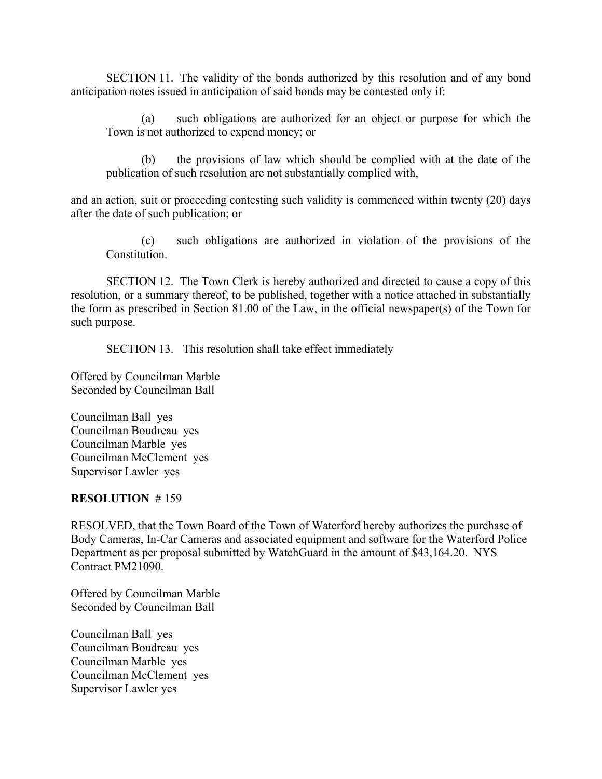SECTION 11. The validity of the bonds authorized by this resolution and of any bond anticipation notes issued in anticipation of said bonds may be contested only if:

(a) such obligations are authorized for an object or purpose for which the Town is not authorized to expend money; or

(b) the provisions of law which should be complied with at the date of the publication of such resolution are not substantially complied with,

and an action, suit or proceeding contesting such validity is commenced within twenty (20) days after the date of such publication; or

(c) such obligations are authorized in violation of the provisions of the Constitution.

SECTION 12. The Town Clerk is hereby authorized and directed to cause a copy of this resolution, or a summary thereof, to be published, together with a notice attached in substantially the form as prescribed in Section 81.00 of the Law, in the official newspaper(s) of the Town for such purpose.

SECTION 13. This resolution shall take effect immediately

Offered by Councilman Marble Seconded by Councilman Ball

Councilman Ball yes Councilman Boudreau yes Councilman Marble yes Councilman McClement yes Supervisor Lawler yes

#### **RESOLUTION** # 159

RESOLVED, that the Town Board of the Town of Waterford hereby authorizes the purchase of Body Cameras, In-Car Cameras and associated equipment and software for the Waterford Police Department as per proposal submitted by WatchGuard in the amount of \$43,164.20. NYS Contract PM21090.

Offered by Councilman Marble Seconded by Councilman Ball

Councilman Ball yes Councilman Boudreau yes Councilman Marble yes Councilman McClement yes Supervisor Lawler yes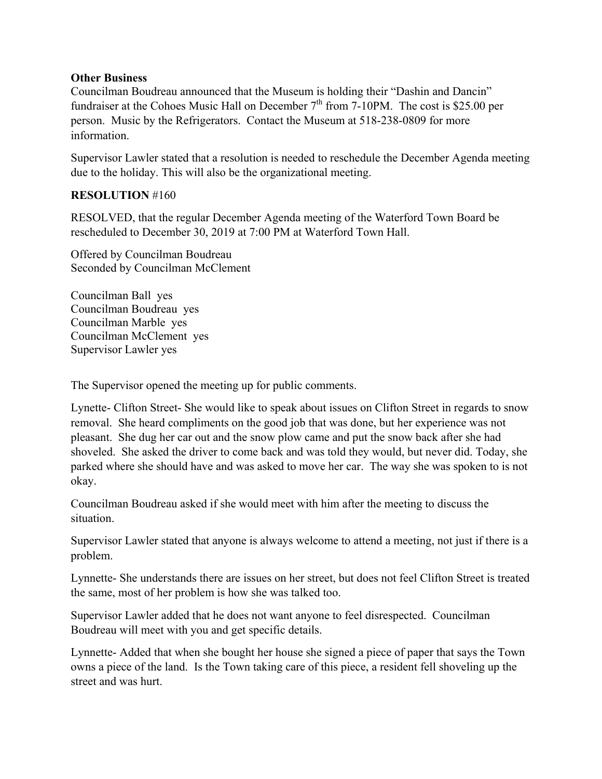#### **Other Business**

Councilman Boudreau announced that the Museum is holding their "Dashin and Dancin" fundraiser at the Cohoes Music Hall on December  $7<sup>th</sup>$  from 7-10PM. The cost is \$25.00 per person. Music by the Refrigerators. Contact the Museum at 518-238-0809 for more information.

Supervisor Lawler stated that a resolution is needed to reschedule the December Agenda meeting due to the holiday. This will also be the organizational meeting.

# **RESOLUTION** #160

RESOLVED, that the regular December Agenda meeting of the Waterford Town Board be rescheduled to December 30, 2019 at 7:00 PM at Waterford Town Hall.

Offered by Councilman Boudreau Seconded by Councilman McClement

Councilman Ball yes Councilman Boudreau yes Councilman Marble yes Councilman McClement yes Supervisor Lawler yes

The Supervisor opened the meeting up for public comments.

Lynette- Clifton Street- She would like to speak about issues on Clifton Street in regards to snow removal. She heard compliments on the good job that was done, but her experience was not pleasant. She dug her car out and the snow plow came and put the snow back after she had shoveled. She asked the driver to come back and was told they would, but never did. Today, she parked where she should have and was asked to move her car. The way she was spoken to is not okay.

Councilman Boudreau asked if she would meet with him after the meeting to discuss the situation.

Supervisor Lawler stated that anyone is always welcome to attend a meeting, not just if there is a problem.

Lynnette- She understands there are issues on her street, but does not feel Clifton Street is treated the same, most of her problem is how she was talked too.

Supervisor Lawler added that he does not want anyone to feel disrespected. Councilman Boudreau will meet with you and get specific details.

Lynnette- Added that when she bought her house she signed a piece of paper that says the Town owns a piece of the land. Is the Town taking care of this piece, a resident fell shoveling up the street and was hurt.